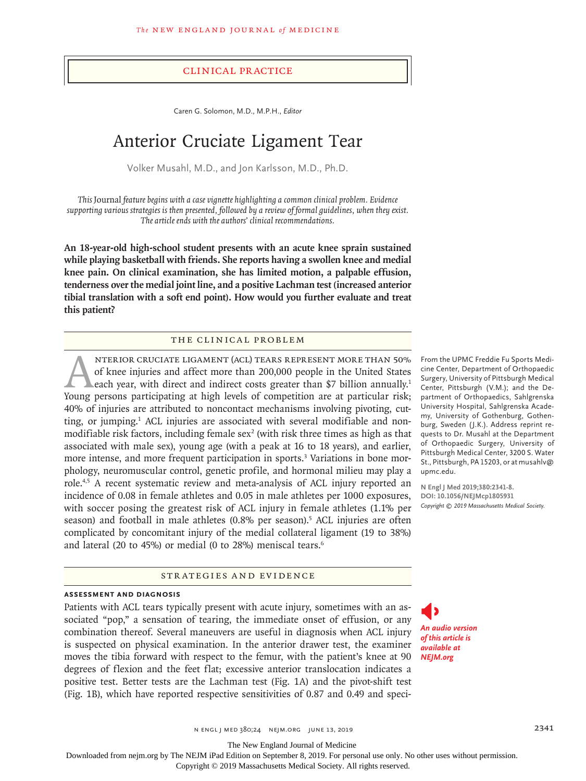#### Clinical Practice

Caren G. Solomon, M.D., M.P.H., *Editor*

# Anterior Cruciate Ligament Tear

Volker Musahl, M.D., and Jon Karlsson, M.D., Ph.D.

*This* Journal *feature begins with a case vignette highlighting a common clinical problem. Evidence supporting various strategies is then presented, followed by a review of formal guidelines, when they exist. The article ends with the authors' clinical recommendations.*

**An 18-year-old high-school student presents with an acute knee sprain sustained while playing basketball with friends. She reports having a swollen knee and medial knee pain. On clinical examination, she has limited motion, a palpable effusion, tenderness over the medial joint line, and a positive Lachman test (increased anterior tibial translation with a soft end point). How would you further evaluate and treat this patient?**

#### The Clinical Problem

ANTERIOR CRUCIATE LIGAMENT (ACL) TEARS REPRESENT MORE THAN 50%<br>of knee injuries and affect more than 200,000 people in the United States<br>each year, with direct and indirect costs greater than \$7 billion annually.<sup>1</sup><br>Young of knee injuries and affect more than 200,000 people in the United States each year, with direct and indirect costs greater than \$7 billion annually.<sup>1</sup> Young persons participating at high levels of competition are at particular risk; 40% of injuries are attributed to noncontact mechanisms involving pivoting, cutting, or jumping.<sup>1</sup> ACL injuries are associated with several modifiable and nonmodifiable risk factors, including female sex<sup>2</sup> (with risk three times as high as that associated with male sex), young age (with a peak at 16 to 18 years), and earlier, more intense, and more frequent participation in sports.<sup>3</sup> Variations in bone morphology, neuromuscular control, genetic profile, and hormonal milieu may play a role.4,5 A recent systematic review and meta-analysis of ACL injury reported an incidence of 0.08 in female athletes and 0.05 in male athletes per 1000 exposures, with soccer posing the greatest risk of ACL injury in female athletes (1.1% per season) and football in male athletes (0.8% per season).<sup>5</sup> ACL injuries are often complicated by concomitant injury of the medial collateral ligament (19 to 38%) and lateral (20 to 45%) or medial (0 to 28%) meniscal tears.<sup>6</sup>

### Strategies and Evidence

#### **Assessment and Diagnosis**

Patients with ACL tears typically present with acute injury, sometimes with an associated "pop," a sensation of tearing, the immediate onset of effusion, or any combination thereof. Several maneuvers are useful in diagnosis when ACL injury is suspected on physical examination. In the anterior drawer test, the examiner moves the tibia forward with respect to the femur, with the patient's knee at 90 degrees of flexion and the feet flat; excessive anterior translocation indicates a positive test. Better tests are the Lachman test (Fig. 1A) and the pivot-shift test (Fig. 1B), which have reported respective sensitivities of 0.87 and 0.49 and speci-

From the UPMC Freddie Fu Sports Medicine Center, Department of Orthopaedic Surgery, University of Pittsburgh Medical Center, Pittsburgh (V.M.); and the Department of Orthopaedics, Sahlgrenska University Hospital, Sahlgrenska Academy, University of Gothenburg, Gothenburg, Sweden (J.K.). Address reprint requests to Dr. Musahl at the Department of Orthopaedic Surgery, University of Pittsburgh Medical Center, 3200 S. Water St., Pittsburgh, PA 15203, or at musahlv@ upmc.edu.

**N Engl J Med 2019;380:2341-8. DOI: 10.1056/NEJMcp1805931** *Copyright © 2019 Massachusetts Medical Society.*

*An audio version of this article is available at NEJM.org*

n engl j med 380;24 nejm.org June 13, 2019 2341

The New England Journal of Medicine

Downloaded from nejm.org by The NEJM iPad Edition on September 8, 2019. For personal use only. No other uses without permission.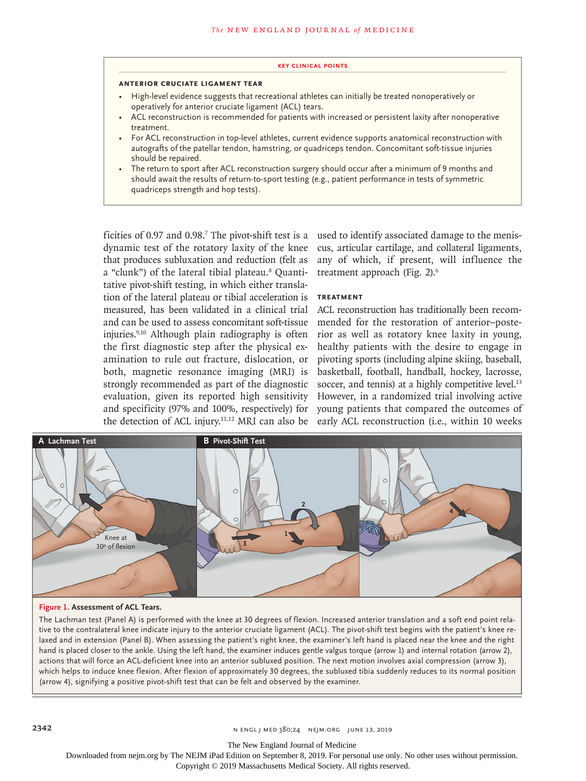#### **Key Clinical Points**

#### **Anterior Cruciate Ligament Tear**

- High-level evidence suggests that recreational athletes can initially be treated nonoperatively or operatively for anterior cruciate ligament (ACL) tears.
- ACL reconstruction is recommended for patients with increased or persistent laxity after nonoperative treatment.
- For ACL reconstruction in top-level athletes, current evidence supports anatomical reconstruction with autografts of the patellar tendon, hamstring, or quadriceps tendon. Concomitant soft-tissue injuries should be repaired.
- The return to sport after ACL reconstruction surgery should occur after a minimum of 9 months and should await the results of return-to-sport testing (e.g., patient performance in tests of symmetric quadriceps strength and hop tests).

ficities of 0.97 and 0.98.<sup>7</sup> The pivot-shift test is a dynamic test of the rotatory laxity of the knee that produces subluxation and reduction (felt as a "clunk") of the lateral tibial plateau.<sup>8</sup> Quantitative pivot-shift testing, in which either translation of the lateral plateau or tibial acceleration is **Treatment** measured, has been validated in a clinical trial and can be used to assess concomitant soft-tissue injuries.9,10 Although plain radiography is often the first diagnostic step after the physical examination to rule out fracture, dislocation, or both, magnetic resonance imaging (MRI) is strongly recommended as part of the diagnostic evaluation, given its reported high sensitivity and specificity (97% and 100%, respectively) for the detection of ACL injury.11,12 MRI can also be

used to identify associated damage to the meniscus, articular cartilage, and collateral ligaments, any of which, if present, will influence the treatment approach (Fig. 2).<sup>6</sup>

ACL reconstruction has traditionally been recommended for the restoration of anterior–posterior as well as rotatory knee laxity in young, healthy patients with the desire to engage in pivoting sports (including alpine skiing, baseball, basketball, football, handball, hockey, lacrosse, soccer, and tennis) at a highly competitive level.<sup>13</sup> However, in a randomized trial involving active young patients that compared the outcomes of early ACL reconstruction (i.e., within 10 weeks



### **Figure 1. Assessment of ACL Tears.**

The Lachman test (Panel A) is performed with the knee at 30 degrees of flexion. Increased anterior translation and a soft end point relative to the contralateral knee indicate injury to the anterior cruciate ligament (ACL). The pivotshift test begins with the patient's knee relaxed and in extension (Panel B). When assessing the patient's right knee, the examiner's left hand is placed near the knee and the right hand is placed closer to the ankle. Using the left hand, the examiner induces gentle valgus torque (arrow 1) and internal rotation (arrow 2), actions that will force an ACL-deficient knee into an anterior subluxed position. The next motion involves axial compression (arrow 3), which helps to induce knee flexion. After flexion of approximately 30 degrees, the subluxed tibia suddenly reduces to its normal position (arrow 4), signifying a positive pivot-shift test that can be felt and observed by the examiner.

The New England Journal of Medicine

Downloaded from nejm.org by The NEJM iPad Edition on September 8, 2019. For personal use only. No other uses without permission.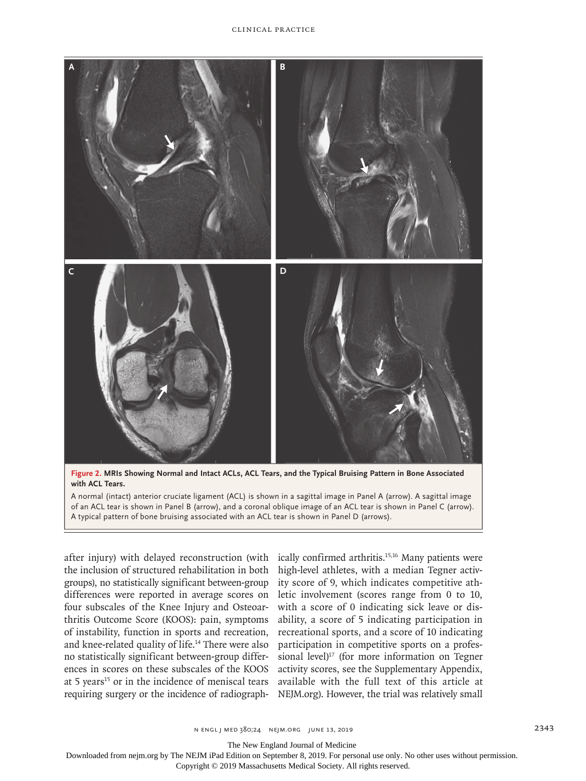

**Figure 2. MRIs Showing Normal and Intact ACLs, ACL Tears, and the Typical Bruising Pattern in Bone Associated with ACL Tears.**

A normal (intact) anterior cruciate ligament (ACL) is shown in a sagittal image in Panel A (arrow). A sagittal image of an ACL tear is shown in Panel B (arrow), and a coronal oblique image of an ACL tear is shown in Panel C (arrow). A typical pattern of bone bruising associated with an ACL tear is shown in Panel D (arrows).

the inclusion of structured rehabilitation in both groups), no statistically significant between-group differences were reported in average scores on four subscales of the Knee Injury and Osteoarthritis Outcome Score (KOOS): pain, symptoms of instability, function in sports and recreation, and knee-related quality of life.14 There were also no statistically significant between-group differences in scores on these subscales of the KOOS at 5 years<sup>15</sup> or in the incidence of meniscal tears requiring surgery or the incidence of radiograph-

after injury) with delayed reconstruction (with ically confirmed arthritis.<sup>15,16</sup> Many patients were high-level athletes, with a median Tegner activity score of 9, which indicates competitive athletic involvement (scores range from 0 to 10, with a score of 0 indicating sick leave or disability, a score of 5 indicating participation in recreational sports, and a score of 10 indicating participation in competitive sports on a professional level)<sup>17</sup> (for more information on Tegner activity scores, see the Supplementary Appendix, available with the full text of this article at NEJM.org). However, the trial was relatively small

The New England Journal of Medicine

Downloaded from nejm.org by The NEJM iPad Edition on September 8, 2019. For personal use only. No other uses without permission.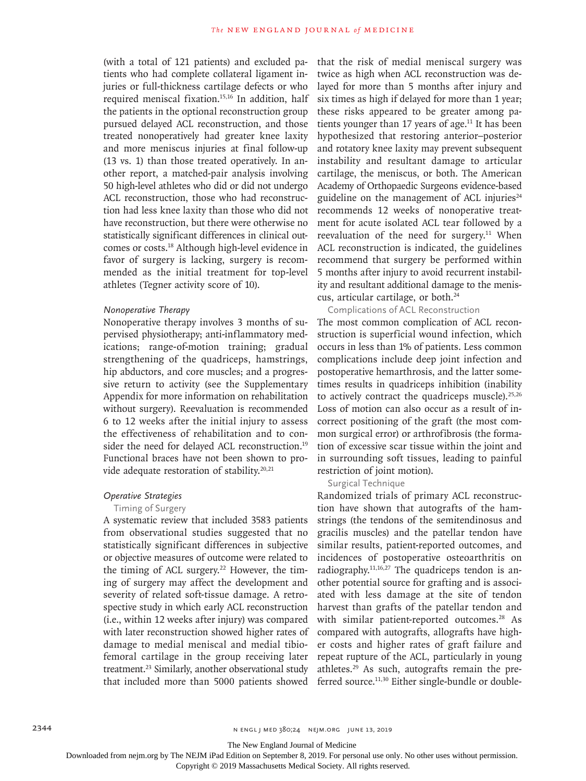(with a total of 121 patients) and excluded patients who had complete collateral ligament injuries or full-thickness cartilage defects or who required meniscal fixation.<sup>15,16</sup> In addition, half the patients in the optional reconstruction group pursued delayed ACL reconstruction, and those treated nonoperatively had greater knee laxity and more meniscus injuries at final follow-up (13 vs. 1) than those treated operatively. In another report, a matched-pair analysis involving 50 high-level athletes who did or did not undergo ACL reconstruction, those who had reconstruction had less knee laxity than those who did not have reconstruction, but there were otherwise no statistically significant differences in clinical outcomes or costs.18 Although high-level evidence in favor of surgery is lacking, surgery is recommended as the initial treatment for top-level athletes (Tegner activity score of 10).

## *Nonoperative Therapy*

Nonoperative therapy involves 3 months of supervised physiotherapy; anti-inflammatory medications; range-of-motion training; gradual strengthening of the quadriceps, hamstrings, hip abductors, and core muscles; and a progressive return to activity (see the Supplementary Appendix for more information on rehabilitation without surgery). Reevaluation is recommended 6 to 12 weeks after the initial injury to assess the effectiveness of rehabilitation and to consider the need for delayed ACL reconstruction.<sup>19</sup> Functional braces have not been shown to provide adequate restoration of stability.<sup>20,21</sup>

#### *Operative Strategies*

#### Timing of Surgery

A systematic review that included 3583 patients from observational studies suggested that no statistically significant differences in subjective or objective measures of outcome were related to the timing of ACL surgery.<sup>22</sup> However, the timing of surgery may affect the development and severity of related soft-tissue damage. A retrospective study in which early ACL reconstruction (i.e., within 12 weeks after injury) was compared with later reconstruction showed higher rates of damage to medial meniscal and medial tibiofemoral cartilage in the group receiving later treatment.<sup>23</sup> Similarly, another observational study that included more than 5000 patients showed

that the risk of medial meniscal surgery was twice as high when ACL reconstruction was delayed for more than 5 months after injury and six times as high if delayed for more than 1 year; these risks appeared to be greater among patients younger than 17 years of age.<sup>11</sup> It has been hypothesized that restoring anterior–posterior and rotatory knee laxity may prevent subsequent instability and resultant damage to articular cartilage, the meniscus, or both. The American Academy of Orthopaedic Surgeons evidence-based guideline on the management of ACL injuries $24$ recommends 12 weeks of nonoperative treatment for acute isolated ACL tear followed by a reevaluation of the need for surgery.<sup>11</sup> When ACL reconstruction is indicated, the guidelines recommend that surgery be performed within 5 months after injury to avoid recurrent instability and resultant additional damage to the meniscus, articular cartilage, or both.24

#### Complications of ACL Reconstruction

The most common complication of ACL reconstruction is superficial wound infection, which occurs in less than 1% of patients. Less common complications include deep joint infection and postoperative hemarthrosis, and the latter sometimes results in quadriceps inhibition (inability to actively contract the quadriceps muscle). $25,26$ Loss of motion can also occur as a result of incorrect positioning of the graft (the most common surgical error) or arthrofibrosis (the formation of excessive scar tissue within the joint and in surrounding soft tissues, leading to painful restriction of joint motion).

#### Surgical Technique

Randomized trials of primary ACL reconstruction have shown that autografts of the hamstrings (the tendons of the semitendinosus and gracilis muscles) and the patellar tendon have similar results, patient-reported outcomes, and incidences of postoperative osteoarthritis on radiography. $11,16,27$  The quadriceps tendon is another potential source for grafting and is associated with less damage at the site of tendon harvest than grafts of the patellar tendon and with similar patient-reported outcomes.<sup>28</sup> As compared with autografts, allografts have higher costs and higher rates of graft failure and repeat rupture of the ACL, particularly in young athletes.29 As such, autografts remain the preferred source.<sup>11,30</sup> Either single-bundle or double-

The New England Journal of Medicine

Downloaded from nejm.org by The NEJM iPad Edition on September 8, 2019. For personal use only. No other uses without permission.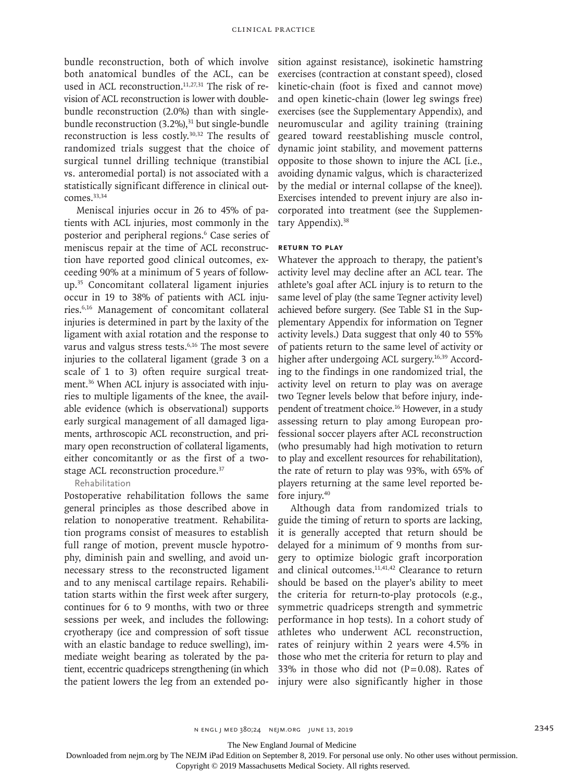bundle reconstruction, both of which involve both anatomical bundles of the ACL, can be used in ACL reconstruction. $11,27,31$  The risk of revision of ACL reconstruction is lower with doublebundle reconstruction (2.0%) than with singlebundle reconstruction  $(3.2\%)$ ,<sup>31</sup> but single-bundle reconstruction is less costly.30,32 The results of randomized trials suggest that the choice of surgical tunnel drilling technique (transtibial vs. anteromedial portal) is not associated with a statistically significant difference in clinical outcomes.<sup>33,34</sup>

Meniscal injuries occur in 26 to 45% of patients with ACL injuries, most commonly in the posterior and peripheral regions.<sup>6</sup> Case series of meniscus repair at the time of ACL reconstruction have reported good clinical outcomes, exceeding 90% at a minimum of 5 years of followup.35 Concomitant collateral ligament injuries occur in 19 to 38% of patients with ACL injuries.6,16 Management of concomitant collateral injuries is determined in part by the laxity of the ligament with axial rotation and the response to varus and valgus stress tests.<sup>6,16</sup> The most severe injuries to the collateral ligament (grade 3 on a scale of 1 to 3) often require surgical treatment.<sup>36</sup> When ACL injury is associated with injuries to multiple ligaments of the knee, the available evidence (which is observational) supports early surgical management of all damaged ligaments, arthroscopic ACL reconstruction, and primary open reconstruction of collateral ligaments, either concomitantly or as the first of a twostage ACL reconstruction procedure.<sup>37</sup>

#### Rehabilitation

Postoperative rehabilitation follows the same general principles as those described above in relation to nonoperative treatment. Rehabilitation programs consist of measures to establish full range of motion, prevent muscle hypotrophy, diminish pain and swelling, and avoid unnecessary stress to the reconstructed ligament and to any meniscal cartilage repairs. Rehabilitation starts within the first week after surgery, continues for 6 to 9 months, with two or three sessions per week, and includes the following: cryotherapy (ice and compression of soft tissue with an elastic bandage to reduce swelling), immediate weight bearing as tolerated by the patient, eccentric quadriceps strengthening (in which the patient lowers the leg from an extended position against resistance), isokinetic hamstring exercises (contraction at constant speed), closed kinetic-chain (foot is fixed and cannot move) and open kinetic-chain (lower leg swings free) exercises (see the Supplementary Appendix), and neuromuscular and agility training (training geared toward reestablishing muscle control, dynamic joint stability, and movement patterns opposite to those shown to injure the ACL [i.e., avoiding dynamic valgus, which is characterized by the medial or internal collapse of the knee]). Exercises intended to prevent injury are also incorporated into treatment (see the Supplementary Appendix).<sup>38</sup>

#### **Return to Play**

Whatever the approach to therapy, the patient's activity level may decline after an ACL tear. The athlete's goal after ACL injury is to return to the same level of play (the same Tegner activity level) achieved before surgery. (See Table S1 in the Supplementary Appendix for information on Tegner activity levels.) Data suggest that only 40 to 55% of patients return to the same level of activity or higher after undergoing ACL surgery.16,39 According to the findings in one randomized trial, the activity level on return to play was on average two Tegner levels below that before injury, independent of treatment choice.16 However, in a study assessing return to play among European professional soccer players after ACL reconstruction (who presumably had high motivation to return to play and excellent resources for rehabilitation), the rate of return to play was 93%, with 65% of players returning at the same level reported before injury.40

Although data from randomized trials to guide the timing of return to sports are lacking, it is generally accepted that return should be delayed for a minimum of 9 months from surgery to optimize biologic graft incorporation and clinical outcomes.<sup>11,41,42</sup> Clearance to return should be based on the player's ability to meet the criteria for return-to-play protocols (e.g., symmetric quadriceps strength and symmetric performance in hop tests). In a cohort study of athletes who underwent ACL reconstruction, rates of reinjury within 2 years were 4.5% in those who met the criteria for return to play and 33% in those who did not  $(P=0.08)$ . Rates of injury were also significantly higher in those

The New England Journal of Medicine

Downloaded from nejm.org by The NEJM iPad Edition on September 8, 2019. For personal use only. No other uses without permission.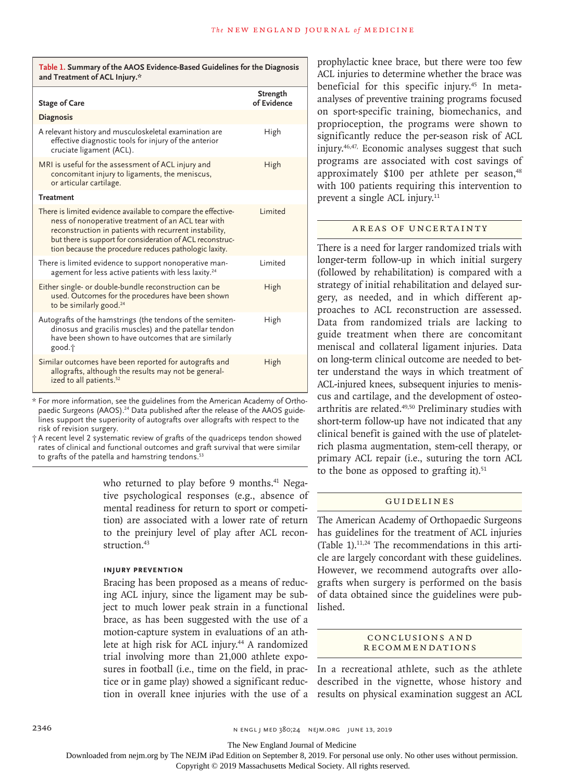**Table 1. Summary of the AAOS Evidence-Based Guidelines for the Diagnosis and Treatment of ACL Injury.\***

| <b>Stage of Care</b>                                                                                                                                                                                                                                                                                | Strength<br>of Evidence |
|-----------------------------------------------------------------------------------------------------------------------------------------------------------------------------------------------------------------------------------------------------------------------------------------------------|-------------------------|
| <b>Diagnosis</b>                                                                                                                                                                                                                                                                                    |                         |
| A relevant history and musculoskeletal examination are<br>effective diagnostic tools for injury of the anterior<br>cruciate ligament (ACL).                                                                                                                                                         | High                    |
| MRI is useful for the assessment of ACL injury and<br>concomitant injury to ligaments, the meniscus,<br>or articular cartilage.                                                                                                                                                                     | High                    |
| <b>Treatment</b>                                                                                                                                                                                                                                                                                    |                         |
| There is limited evidence available to compare the effective-<br>ness of nonoperative treatment of an ACL tear with<br>reconstruction in patients with recurrent instability,<br>but there is support for consideration of ACL reconstruc-<br>tion because the procedure reduces pathologic laxity. | <b>l</b> imited         |
| There is limited evidence to support nonoperative man-<br>agement for less active patients with less laxity. <sup>24</sup>                                                                                                                                                                          | I imited                |
| Either single- or double-bundle reconstruction can be<br>used. Outcomes for the procedures have been shown<br>to be similarly good. <sup>24</sup>                                                                                                                                                   | High                    |
| Autografts of the hamstrings (the tendons of the semiten-<br>dinosus and gracilis muscles) and the patellar tendon<br>have been shown to have outcomes that are similarly<br>good.†                                                                                                                 | High                    |
| Similar outcomes have been reported for autografts and<br>allografts, although the results may not be general-<br>ized to all patients. <sup>52</sup>                                                                                                                                               | High                    |

\* For more information, see the guidelines from the American Academy of Orthopaedic Surgeons (AAOS).<sup>24</sup> Data published after the release of the AAOS guidelines support the superiority of autografts over allografts with respect to the risk of revision surgery.

† A recent level 2 systematic review of grafts of the quadriceps tendon showed rates of clinical and functional outcomes and graft survival that were similar to grafts of the patella and hamstring tendons.<sup>53</sup>

> who returned to play before 9 months.<sup>41</sup> Negative psychological responses (e.g., absence of mental readiness for return to sport or competition) are associated with a lower rate of return to the preinjury level of play after ACL reconstruction.<sup>43</sup>

#### **Injury Prevention**

Bracing has been proposed as a means of reducing ACL injury, since the ligament may be subject to much lower peak strain in a functional lished. brace, as has been suggested with the use of a motion-capture system in evaluations of an athlete at high risk for ACL injury.<sup>44</sup> A randomized trial involving more than 21,000 athlete exposures in football (i.e., time on the field, in practice or in game play) showed a significant reduc-

prophylactic knee brace, but there were too few ACL injuries to determine whether the brace was beneficial for this specific injury.45 In metaanalyses of preventive training programs focused on sport-specific training, biomechanics, and proprioception, the programs were shown to significantly reduce the per-season risk of ACL injury.46,47, Economic analyses suggest that such programs are associated with cost savings of approximately \$100 per athlete per season,<sup>48</sup> with 100 patients requiring this intervention to prevent a single ACL injury.<sup>11</sup>

# Areas of Uncertainty

There is a need for larger randomized trials with longer-term follow-up in which initial surgery (followed by rehabilitation) is compared with a strategy of initial rehabilitation and delayed surgery, as needed, and in which different approaches to ACL reconstruction are assessed. Data from randomized trials are lacking to guide treatment when there are concomitant meniscal and collateral ligament injuries. Data on long-term clinical outcome are needed to better understand the ways in which treatment of ACL-injured knees, subsequent injuries to meniscus and cartilage, and the development of osteoarthritis are related.49,50 Preliminary studies with short-term follow-up have not indicated that any clinical benefit is gained with the use of plateletrich plasma augmentation, stem-cell therapy, or primary ACL repair (i.e., suturing the torn ACL to the bone as opposed to grafting it). $51$ 

#### Guidelines

The American Academy of Orthopaedic Surgeons has guidelines for the treatment of ACL injuries (Table 1).11,24 The recommendations in this article are largely concordant with these guidelines. However, we recommend autografts over allografts when surgery is performed on the basis of data obtained since the guidelines were pub-

#### Conclusions a nd **RECOMMENDATIONS**

tion in overall knee injuries with the use of a results on physical examination suggest an ACL In a recreational athlete, such as the athlete described in the vignette, whose history and

2346 **NET SEPTEMBER 2346** NEWSLYMED 380;24 NEIM.ORG JUNE 13, 2019

The New England Journal of Medicine

Downloaded from nejm.org by The NEJM iPad Edition on September 8, 2019. For personal use only. No other uses without permission.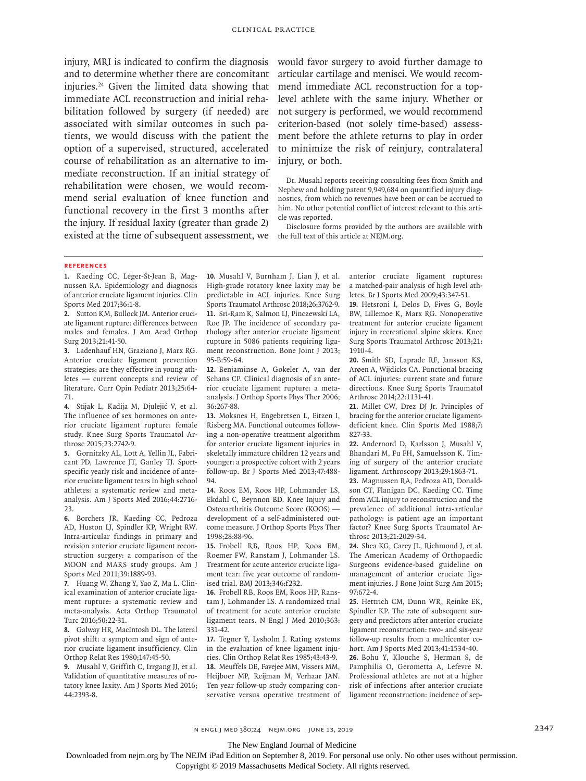injury, MRI is indicated to confirm the diagnosis and to determine whether there are concomitant injuries.24 Given the limited data showing that immediate ACL reconstruction and initial rehabilitation followed by surgery (if needed) are associated with similar outcomes in such patients, we would discuss with the patient the option of a supervised, structured, accelerated course of rehabilitation as an alternative to immediate reconstruction. If an initial strategy of rehabilitation were chosen, we would recommend serial evaluation of knee function and functional recovery in the first 3 months after the injury. If residual laxity (greater than grade 2) existed at the time of subsequent assessment, we

would favor surgery to avoid further damage to articular cartilage and menisci. We would recommend immediate ACL reconstruction for a toplevel athlete with the same injury. Whether or not surgery is performed, we would recommend criterion-based (not solely time-based) assessment before the athlete returns to play in order to minimize the risk of reinjury, contralateral injury, or both.

Dr. Musahl reports receiving consulting fees from Smith and Nephew and holding patent 9,949,684 on quantified injury diagnostics, from which no revenues have been or can be accrued to him. No other potential conflict of interest relevant to this article was reported.

Disclosure forms provided by the authors are available with the full text of this article at NEJM.org.

#### **References**

**1.** Kaeding CC, Léger-St-Jean B, Magnussen RA. Epidemiology and diagnosis of anterior cruciate ligament injuries. Clin Sports Med 2017;36:1-8.

**2.** Sutton KM, Bullock JM. Anterior cruciate ligament rupture: differences between males and females. J Am Acad Orthop Surg 2013;21:41-50.

**3.** Ladenhauf HN, Graziano J, Marx RG. Anterior cruciate ligament prevention strategies: are they effective in young athletes — current concepts and review of literature. Curr Opin Pediatr 2013;25:64- 71.

**4.** Stijak L, Kadija M, Djulejić V, et al. The influence of sex hormones on anterior cruciate ligament rupture: female study. Knee Surg Sports Traumatol Arthrosc 2015;23:2742-9.

**5.** Gornitzky AL, Lott A, Yellin JL, Fabricant PD, Lawrence JT, Ganley TJ. Sportspecific yearly risk and incidence of anterior cruciate ligament tears in high school athletes: a systematic review and metaanalysis. Am J Sports Med 2016;44:2716- 23.

**6.** Borchers JR, Kaeding CC, Pedroza AD, Huston LJ, Spindler KP, Wright RW. Intra-articular findings in primary and revision anterior cruciate ligament reconstruction surgery: a comparison of the MOON and MARS study groups. Am J Sports Med 2011;39:1889-93.

**7.** Huang W, Zhang Y, Yao Z, Ma L. Clinical examination of anterior cruciate ligament rupture: a systematic review and meta-analysis. Acta Orthop Traumatol Turc 2016;50:22-31.

**8.** Galway HR, MacIntosh DL. The lateral pivot shift: a symptom and sign of anterior cruciate ligament insufficiency. Clin Orthop Relat Res 1980;147:45-50.

**9.** Musahl V, Griffith C, Irrgang JJ, et al. Validation of quantitative measures of rotatory knee laxity. Am J Sports Med 2016; 44:2393-8.

**10.** Musahl V, Burnham J, Lian J, et al. High-grade rotatory knee laxity may be predictable in ACL injuries. Knee Surg Sports Traumatol Arthrosc 2018;26:3762-9. **11.** Sri-Ram K, Salmon LJ, Pinczewski LA, Roe JP. The incidence of secondary pathology after anterior cruciate ligament rupture in 5086 patients requiring ligament reconstruction. Bone Joint J 2013; 95-B:59-64.

**12.** Benjaminse A, Gokeler A, van der Schans CP. Clinical diagnosis of an anterior cruciate ligament rupture: a metaanalysis. J Orthop Sports Phys Ther 2006; 36:267-88.

**13.** Moksnes H, Engebretsen L, Eitzen I, Risberg MA. Functional outcomes following a non-operative treatment algorithm for anterior cruciate ligament injuries in skeletally immature children 12 years and younger: a prospective cohort with 2 years follow-up. Br J Sports Med 2013;47:488- 94.

**14.** Roos EM, Roos HP, Lohmander LS, Ekdahl C, Beynnon BD. Knee Injury and Osteoarthritis Outcome Score (KOOS) development of a self-administered outcome measure. J Orthop Sports Phys Ther 1998;28:88-96.

**15.** Frobell RB, Roos HP, Roos EM, Roemer FW, Ranstam J, Lohmander LS. Treatment for acute anterior cruciate ligament tear: five year outcome of randomised trial. BMJ 2013;346:f232.

**16.** Frobell RB, Roos EM, Roos HP, Ranstam J, Lohmander LS. A randomized trial of treatment for acute anterior cruciate ligament tears. N Engl J Med 2010;363: 331-42.

**17.** Tegner Y, Lysholm J. Rating systems in the evaluation of knee ligament injuries. Clin Orthop Relat Res 1985;43:43-9. **18.** Meuffels DE, Favejee MM, Vissers MM, Heijboer MP, Reijman M, Verhaar JAN. Ten year follow-up study comparing conservative versus operative treatment of anterior cruciate ligament ruptures: a matched-pair analysis of high level athletes. Br J Sports Med 2009;43:347-51.

**19.** Hetsroni I, Delos D, Fives G, Boyle BW, Lillemoe K, Marx RG. Nonoperative treatment for anterior cruciate ligament injury in recreational alpine skiers. Knee Surg Sports Traumatol Arthrosc 2013;21: 1910-4.

**20.** Smith SD, Laprade RF, Jansson KS, Arøen A, Wijdicks CA. Functional bracing of ACL injuries: current state and future directions. Knee Surg Sports Traumatol Arthrosc 2014;22:1131-41.

**21.** Millet CW, Drez DJ Jr. Principles of bracing for the anterior cruciate ligamentdeficient knee. Clin Sports Med 1988;7: 827-33.

**22.** Andernord D, Karlsson J, Musahl V, Bhandari M, Fu FH, Samuelsson K. Timing of surgery of the anterior cruciate ligament. Arthroscopy 2013;29:1863-71.

**23.** Magnussen RA, Pedroza AD, Donaldson CT, Flanigan DC, Kaeding CC. Time from ACL injury to reconstruction and the prevalence of additional intra-articular pathology: is patient age an important factor? Knee Surg Sports Traumatol Arthrosc 2013;21:2029-34.

**24.** Shea KG, Carey JL, Richmond J, et al. The American Academy of Orthopaedic Surgeons evidence-based guideline on management of anterior cruciate ligament injuries. J Bone Joint Surg Am 2015; 97:672-4.

**25.** Hettrich CM, Dunn WR, Reinke EK, Spindler KP. The rate of subsequent surgery and predictors after anterior cruciate ligament reconstruction: two- and six-year follow-up results from a multicenter cohort. Am J Sports Med 2013;41:1534-40.

**26.** Bohu Y, Klouche S, Herman S, de Pamphilis O, Gerometta A, Lefevre N. Professional athletes are not at a higher risk of infections after anterior cruciate ligament reconstruction: incidence of sep-

The New England Journal of Medicine

Downloaded from nejm.org by The NEJM iPad Edition on September 8, 2019. For personal use only. No other uses without permission.